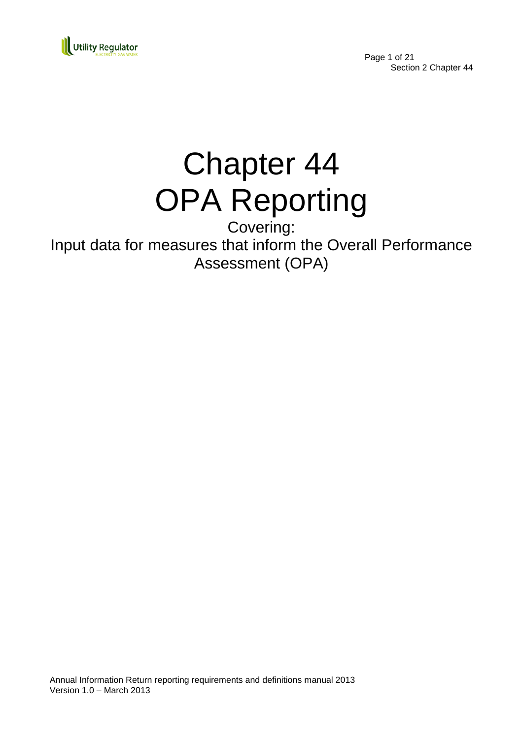

Page 1 of 21 Section 2 Chapter 44

# Chapter 44 OPA Reporting

Covering: Input data for measures that inform the Overall Performance Assessment (OPA)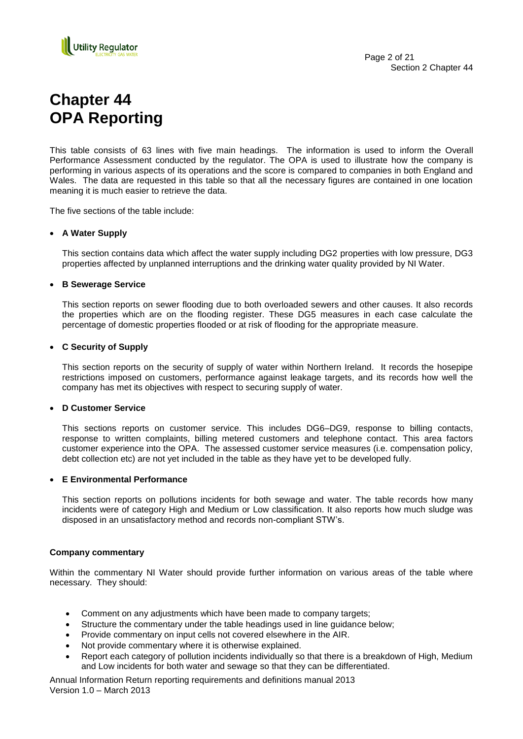

## **Chapter 44 OPA Reporting**

This table consists of 63 lines with five main headings. The information is used to inform the Overall Performance Assessment conducted by the regulator. The OPA is used to illustrate how the company is performing in various aspects of its operations and the score is compared to companies in both England and Wales. The data are requested in this table so that all the necessary figures are contained in one location meaning it is much easier to retrieve the data.

The five sections of the table include:

#### **A Water Supply**

This section contains data which affect the water supply including DG2 properties with low pressure, DG3 properties affected by unplanned interruptions and the drinking water quality provided by NI Water.

#### **B Sewerage Service**

This section reports on sewer flooding due to both overloaded sewers and other causes. It also records the properties which are on the flooding register. These DG5 measures in each case calculate the percentage of domestic properties flooded or at risk of flooding for the appropriate measure.

#### **C Security of Supply**

This section reports on the security of supply of water within Northern Ireland. It records the hosepipe restrictions imposed on customers, performance against leakage targets, and its records how well the company has met its objectives with respect to securing supply of water.

#### **D Customer Service**

This sections reports on customer service. This includes DG6–DG9, response to billing contacts, response to written complaints, billing metered customers and telephone contact. This area factors customer experience into the OPA. The assessed customer service measures (i.e. compensation policy, debt collection etc) are not yet included in the table as they have yet to be developed fully.

### **E Environmental Performance**

This section reports on pollutions incidents for both sewage and water. The table records how many incidents were of category High and Medium or Low classification. It also reports how much sludge was disposed in an unsatisfactory method and records non-compliant STW"s.

#### **Company commentary**

Within the commentary NI Water should provide further information on various areas of the table where necessary. They should:

- Comment on any adjustments which have been made to company targets;
- Structure the commentary under the table headings used in line guidance below;
- Provide commentary on input cells not covered elsewhere in the AIR.
- Not provide commentary where it is otherwise explained.
- Report each category of pollution incidents individually so that there is a breakdown of High, Medium and Low incidents for both water and sewage so that they can be differentiated.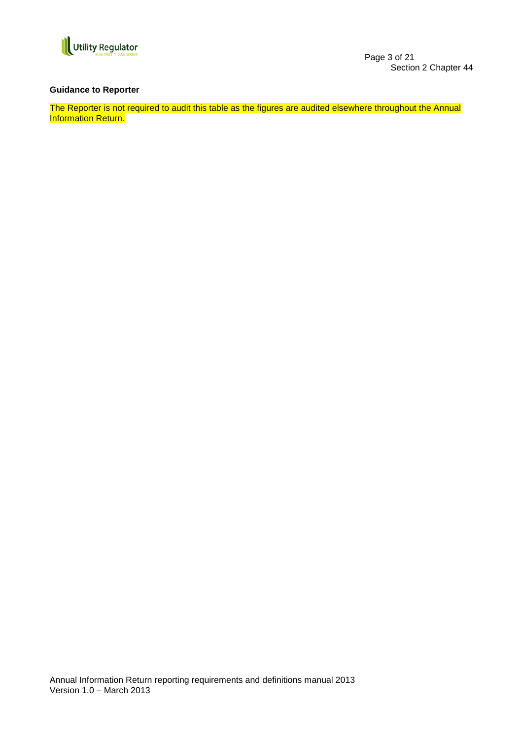

Page 3 of 21 Section 2 Chapter 44

#### **Guidance to Reporter**

The Reporter is not required to audit this table as the figures are audited elsewhere throughout the Annual Information Return.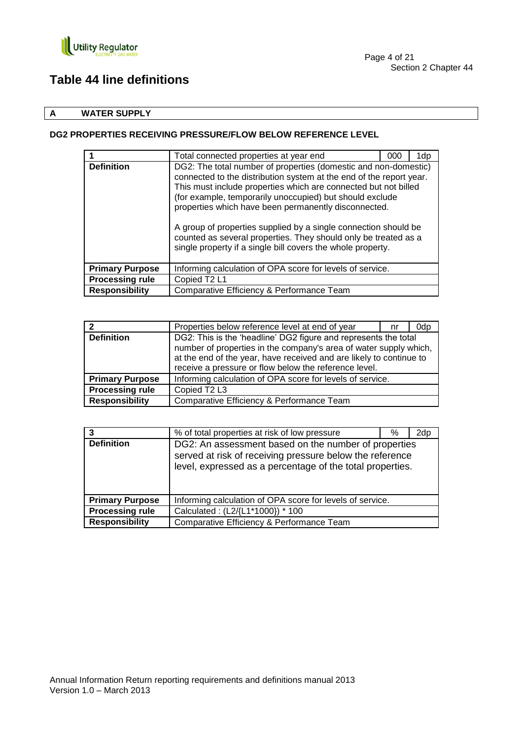

## **Table 44 line definitions**

## **A WATER SUPPLY**

## **DG2 PROPERTIES RECEIVING PRESSURE/FLOW BELOW REFERENCE LEVEL**

|                        | Total connected properties at year end                                                                                                                                                                                                                                                                                                                                                                                                                                                                                             | 000 | 1dp. |
|------------------------|------------------------------------------------------------------------------------------------------------------------------------------------------------------------------------------------------------------------------------------------------------------------------------------------------------------------------------------------------------------------------------------------------------------------------------------------------------------------------------------------------------------------------------|-----|------|
| <b>Definition</b>      | DG2: The total number of properties (domestic and non-domestic)<br>connected to the distribution system at the end of the report year.<br>This must include properties which are connected but not billed<br>(for example, temporarily unoccupied) but should exclude<br>properties which have been permanently disconnected.<br>A group of properties supplied by a single connection should be<br>counted as several properties. They should only be treated as a<br>single property if a single bill covers the whole property. |     |      |
| <b>Primary Purpose</b> | Informing calculation of OPA score for levels of service.                                                                                                                                                                                                                                                                                                                                                                                                                                                                          |     |      |
| <b>Processing rule</b> | Copied T2 L1                                                                                                                                                                                                                                                                                                                                                                                                                                                                                                                       |     |      |
| <b>Responsibility</b>  | Comparative Efficiency & Performance Team                                                                                                                                                                                                                                                                                                                                                                                                                                                                                          |     |      |

|                        | Properties below reference level at end of year                                                                                                                                                                                                                      | nr | 0dp |
|------------------------|----------------------------------------------------------------------------------------------------------------------------------------------------------------------------------------------------------------------------------------------------------------------|----|-----|
| <b>Definition</b>      | DG2: This is the 'headline' DG2 figure and represents the total<br>number of properties in the company's area of water supply which,<br>at the end of the year, have received and are likely to continue to<br>receive a pressure or flow below the reference level. |    |     |
| <b>Primary Purpose</b> | Informing calculation of OPA score for levels of service.                                                                                                                                                                                                            |    |     |
| <b>Processing rule</b> | Copied T <sub>2</sub> L <sub>3</sub>                                                                                                                                                                                                                                 |    |     |
| <b>Responsibility</b>  | Comparative Efficiency & Performance Team                                                                                                                                                                                                                            |    |     |

|                        | % of total properties at risk of low pressure                                                                                                                                 | % | 2dp |
|------------------------|-------------------------------------------------------------------------------------------------------------------------------------------------------------------------------|---|-----|
| <b>Definition</b>      | DG2: An assessment based on the number of properties<br>served at risk of receiving pressure below the reference<br>level, expressed as a percentage of the total properties. |   |     |
| <b>Primary Purpose</b> | Informing calculation of OPA score for levels of service.                                                                                                                     |   |     |
| <b>Processing rule</b> | Calculated: (L2/{L1*1000}) * 100                                                                                                                                              |   |     |
| <b>Responsibility</b>  | Comparative Efficiency & Performance Team                                                                                                                                     |   |     |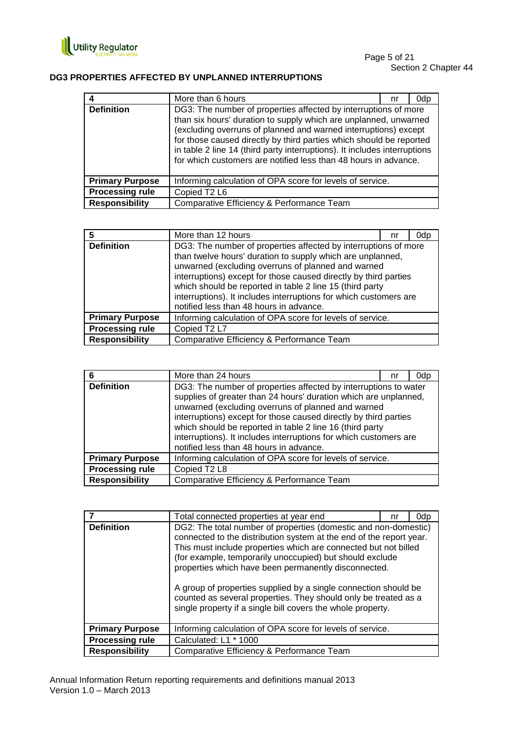

## **DG3 PROPERTIES AFFECTED BY UNPLANNED INTERRUPTIONS**

|                        | More than 6 hours                                                                                                                                                                                                                                                                                                                                                                                                             | nr | 0dp |
|------------------------|-------------------------------------------------------------------------------------------------------------------------------------------------------------------------------------------------------------------------------------------------------------------------------------------------------------------------------------------------------------------------------------------------------------------------------|----|-----|
| <b>Definition</b>      | DG3: The number of properties affected by interruptions of more<br>than six hours' duration to supply which are unplanned, unwarned<br>(excluding overruns of planned and warned interruptions) except<br>for those caused directly by third parties which should be reported<br>in table 2 line 14 (third party interruptions). It includes interruptions<br>for which customers are notified less than 48 hours in advance. |    |     |
| <b>Primary Purpose</b> | Informing calculation of OPA score for levels of service.                                                                                                                                                                                                                                                                                                                                                                     |    |     |
| <b>Processing rule</b> | Copied T2 L6                                                                                                                                                                                                                                                                                                                                                                                                                  |    |     |
| <b>Responsibility</b>  | Comparative Efficiency & Performance Team                                                                                                                                                                                                                                                                                                                                                                                     |    |     |

| 5                      | More than 12 hours                                                                                                                                                                                                                                                                                                                                                                                                                  | nr | 0dp |
|------------------------|-------------------------------------------------------------------------------------------------------------------------------------------------------------------------------------------------------------------------------------------------------------------------------------------------------------------------------------------------------------------------------------------------------------------------------------|----|-----|
| <b>Definition</b>      | DG3: The number of properties affected by interruptions of more<br>than twelve hours' duration to supply which are unplanned,<br>unwarned (excluding overruns of planned and warned<br>interruptions) except for those caused directly by third parties<br>which should be reported in table 2 line 15 (third party<br>interruptions). It includes interruptions for which customers are<br>notified less than 48 hours in advance. |    |     |
| <b>Primary Purpose</b> | Informing calculation of OPA score for levels of service.                                                                                                                                                                                                                                                                                                                                                                           |    |     |
| <b>Processing rule</b> | Copied T2 L7                                                                                                                                                                                                                                                                                                                                                                                                                        |    |     |
| <b>Responsibility</b>  | Comparative Efficiency & Performance Team                                                                                                                                                                                                                                                                                                                                                                                           |    |     |

| 6                      | More than 24 hours                                                                                                                                                                                                                                                                                                                                                                                                                         | nr | 0dp |
|------------------------|--------------------------------------------------------------------------------------------------------------------------------------------------------------------------------------------------------------------------------------------------------------------------------------------------------------------------------------------------------------------------------------------------------------------------------------------|----|-----|
| <b>Definition</b>      | DG3: The number of properties affected by interruptions to water<br>supplies of greater than 24 hours' duration which are unplanned,<br>unwarned (excluding overruns of planned and warned<br>interruptions) except for those caused directly by third parties<br>which should be reported in table 2 line 16 (third party<br>interruptions). It includes interruptions for which customers are<br>notified less than 48 hours in advance. |    |     |
| <b>Primary Purpose</b> | Informing calculation of OPA score for levels of service.                                                                                                                                                                                                                                                                                                                                                                                  |    |     |
| <b>Processing rule</b> | Copied T2 L8                                                                                                                                                                                                                                                                                                                                                                                                                               |    |     |
| <b>Responsibility</b>  | Comparative Efficiency & Performance Team                                                                                                                                                                                                                                                                                                                                                                                                  |    |     |

|                        | Total connected properties at year end                                                                                                                                                                                                                                                                                                                                                                                                                                                                                             | nr | 0dp |
|------------------------|------------------------------------------------------------------------------------------------------------------------------------------------------------------------------------------------------------------------------------------------------------------------------------------------------------------------------------------------------------------------------------------------------------------------------------------------------------------------------------------------------------------------------------|----|-----|
| <b>Definition</b>      | DG2: The total number of properties (domestic and non-domestic)<br>connected to the distribution system at the end of the report year.<br>This must include properties which are connected but not billed<br>(for example, temporarily unoccupied) but should exclude<br>properties which have been permanently disconnected.<br>A group of properties supplied by a single connection should be<br>counted as several properties. They should only be treated as a<br>single property if a single bill covers the whole property. |    |     |
| <b>Primary Purpose</b> | Informing calculation of OPA score for levels of service.                                                                                                                                                                                                                                                                                                                                                                                                                                                                          |    |     |
| <b>Processing rule</b> | Calculated: L1 * 1000                                                                                                                                                                                                                                                                                                                                                                                                                                                                                                              |    |     |
| <b>Responsibility</b>  | Comparative Efficiency & Performance Team                                                                                                                                                                                                                                                                                                                                                                                                                                                                                          |    |     |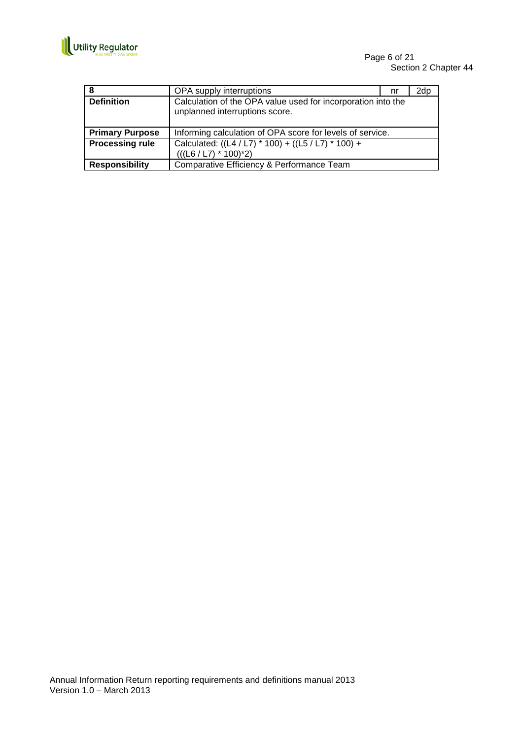

| 8                      | OPA supply interruptions                                                                       | nr | 2dp |
|------------------------|------------------------------------------------------------------------------------------------|----|-----|
| <b>Definition</b>      | Calculation of the OPA value used for incorporation into the<br>unplanned interruptions score. |    |     |
| <b>Primary Purpose</b> | Informing calculation of OPA score for levels of service.                                      |    |     |
| <b>Processing rule</b> | Calculated: ((L4 / L7) * 100) + ((L5 / L7) * 100) +                                            |    |     |
|                        | $(((L6 / L7) * 100)^*2)$                                                                       |    |     |
| <b>Responsibility</b>  | Comparative Efficiency & Performance Team                                                      |    |     |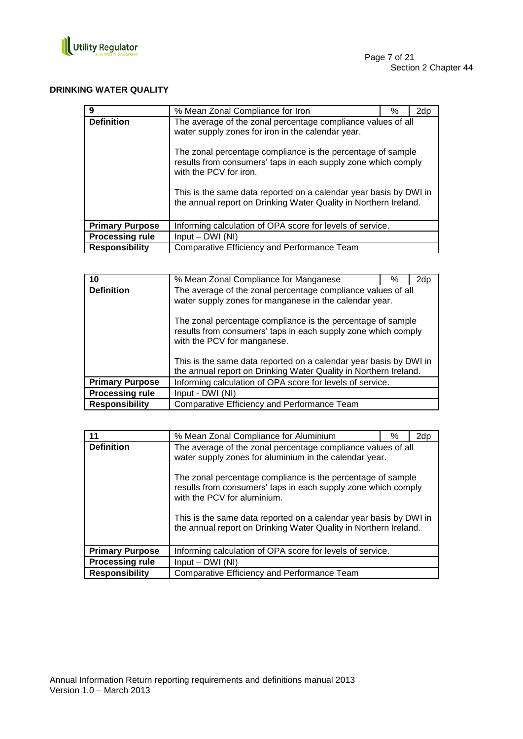

## **DRINKING WATER QUALITY**

| 9                      | % Mean Zonal Compliance for Iron                                                                                                                                                                                                                                                                                                                                                                                     | % | 2dp |
|------------------------|----------------------------------------------------------------------------------------------------------------------------------------------------------------------------------------------------------------------------------------------------------------------------------------------------------------------------------------------------------------------------------------------------------------------|---|-----|
| <b>Definition</b>      | The average of the zonal percentage compliance values of all<br>water supply zones for iron in the calendar year.<br>The zonal percentage compliance is the percentage of sample<br>results from consumers' taps in each supply zone which comply<br>with the PCV for iron.<br>This is the same data reported on a calendar year basis by DWI in<br>the annual report on Drinking Water Quality in Northern Ireland. |   |     |
| <b>Primary Purpose</b> | Informing calculation of OPA score for levels of service.                                                                                                                                                                                                                                                                                                                                                            |   |     |
| <b>Processing rule</b> | $Input - DWI (NI)$                                                                                                                                                                                                                                                                                                                                                                                                   |   |     |
| <b>Responsibility</b>  | Comparative Efficiency and Performance Team                                                                                                                                                                                                                                                                                                                                                                          |   |     |

| 10                     | % Mean Zonal Compliance for Manganese                                                                                                                       | % | 2dp |  |
|------------------------|-------------------------------------------------------------------------------------------------------------------------------------------------------------|---|-----|--|
| <b>Definition</b>      | The average of the zonal percentage compliance values of all<br>water supply zones for manganese in the calendar year.                                      |   |     |  |
|                        | The zonal percentage compliance is the percentage of sample<br>results from consumers' taps in each supply zone which comply<br>with the PCV for manganese. |   |     |  |
|                        | This is the same data reported on a calendar year basis by DWI in<br>the annual report on Drinking Water Quality in Northern Ireland.                       |   |     |  |
| <b>Primary Purpose</b> | Informing calculation of OPA score for levels of service.                                                                                                   |   |     |  |
| <b>Processing rule</b> | Input - DWI (NI)                                                                                                                                            |   |     |  |
| <b>Responsibility</b>  | Comparative Efficiency and Performance Team                                                                                                                 |   |     |  |

| 11                     | % Mean Zonal Compliance for Aluminium                                                                                                                                                                                                                                                                                                                                                                                          | % | 2dp |
|------------------------|--------------------------------------------------------------------------------------------------------------------------------------------------------------------------------------------------------------------------------------------------------------------------------------------------------------------------------------------------------------------------------------------------------------------------------|---|-----|
| <b>Definition</b>      | The average of the zonal percentage compliance values of all<br>water supply zones for aluminium in the calendar year.<br>The zonal percentage compliance is the percentage of sample<br>results from consumers' taps in each supply zone which comply<br>with the PCV for aluminium.<br>This is the same data reported on a calendar year basis by DWI in<br>the annual report on Drinking Water Quality in Northern Ireland. |   |     |
| <b>Primary Purpose</b> | Informing calculation of OPA score for levels of service.                                                                                                                                                                                                                                                                                                                                                                      |   |     |
| <b>Processing rule</b> | Input – DWI (NI)                                                                                                                                                                                                                                                                                                                                                                                                               |   |     |
| <b>Responsibility</b>  | Comparative Efficiency and Performance Team                                                                                                                                                                                                                                                                                                                                                                                    |   |     |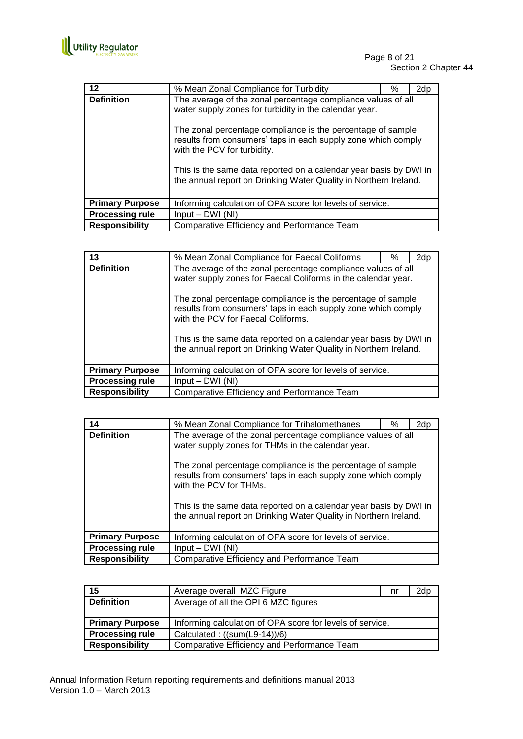

| 12                     | % Mean Zonal Compliance for Turbidity                                                                                                                                                                                                                                                 | ℅ | 2dp |
|------------------------|---------------------------------------------------------------------------------------------------------------------------------------------------------------------------------------------------------------------------------------------------------------------------------------|---|-----|
| <b>Definition</b>      | The average of the zonal percentage compliance values of all<br>water supply zones for turbidity in the calendar year.<br>The zonal percentage compliance is the percentage of sample<br>results from consumers' taps in each supply zone which comply<br>with the PCV for turbidity. |   |     |
|                        | This is the same data reported on a calendar year basis by DWI in<br>the annual report on Drinking Water Quality in Northern Ireland.                                                                                                                                                 |   |     |
| <b>Primary Purpose</b> | Informing calculation of OPA score for levels of service.                                                                                                                                                                                                                             |   |     |
| <b>Processing rule</b> | $Input - DWI (NI)$                                                                                                                                                                                                                                                                    |   |     |
| <b>Responsibility</b>  | Comparative Efficiency and Performance Team                                                                                                                                                                                                                                           |   |     |

| 13                     | % Mean Zonal Compliance for Faecal Coliforms                                                                                                                                                                                                                                                                                                                                                                                                 | % | 2dp |  |
|------------------------|----------------------------------------------------------------------------------------------------------------------------------------------------------------------------------------------------------------------------------------------------------------------------------------------------------------------------------------------------------------------------------------------------------------------------------------------|---|-----|--|
| <b>Definition</b>      | The average of the zonal percentage compliance values of all<br>water supply zones for Faecal Coliforms in the calendar year.<br>The zonal percentage compliance is the percentage of sample<br>results from consumers' taps in each supply zone which comply<br>with the PCV for Faecal Coliforms.<br>This is the same data reported on a calendar year basis by DWI in<br>the annual report on Drinking Water Quality in Northern Ireland. |   |     |  |
| <b>Primary Purpose</b> | Informing calculation of OPA score for levels of service.                                                                                                                                                                                                                                                                                                                                                                                    |   |     |  |
| <b>Processing rule</b> | $Input - DWI (NI)$                                                                                                                                                                                                                                                                                                                                                                                                                           |   |     |  |
| <b>Responsibility</b>  | Comparative Efficiency and Performance Team                                                                                                                                                                                                                                                                                                                                                                                                  |   |     |  |

| 14                     | % Mean Zonal Compliance for Trihalomethanes                                                                                                                                                                                                                                                                                                      | ℅ | 2dp |
|------------------------|--------------------------------------------------------------------------------------------------------------------------------------------------------------------------------------------------------------------------------------------------------------------------------------------------------------------------------------------------|---|-----|
| <b>Definition</b>      | The average of the zonal percentage compliance values of all<br>water supply zones for THMs in the calendar year.<br>The zonal percentage compliance is the percentage of sample<br>results from consumers' taps in each supply zone which comply<br>with the PCV for THMs.<br>This is the same data reported on a calendar year basis by DWI in |   |     |
|                        | the annual report on Drinking Water Quality in Northern Ireland.                                                                                                                                                                                                                                                                                 |   |     |
| <b>Primary Purpose</b> | Informing calculation of OPA score for levels of service.                                                                                                                                                                                                                                                                                        |   |     |
| <b>Processing rule</b> | $Input - DWI (NI)$                                                                                                                                                                                                                                                                                                                               |   |     |
| <b>Responsibility</b>  | Comparative Efficiency and Performance Team                                                                                                                                                                                                                                                                                                      |   |     |

| 15                     | Average overall MZC Figure                                | nr | 2dp |
|------------------------|-----------------------------------------------------------|----|-----|
| <b>Definition</b>      | Average of all the OPI 6 MZC figures                      |    |     |
|                        |                                                           |    |     |
| <b>Primary Purpose</b> | Informing calculation of OPA score for levels of service. |    |     |
| <b>Processing rule</b> | Calculated: $((sum(L9-14))/6)$                            |    |     |
| <b>Responsibility</b>  | Comparative Efficiency and Performance Team               |    |     |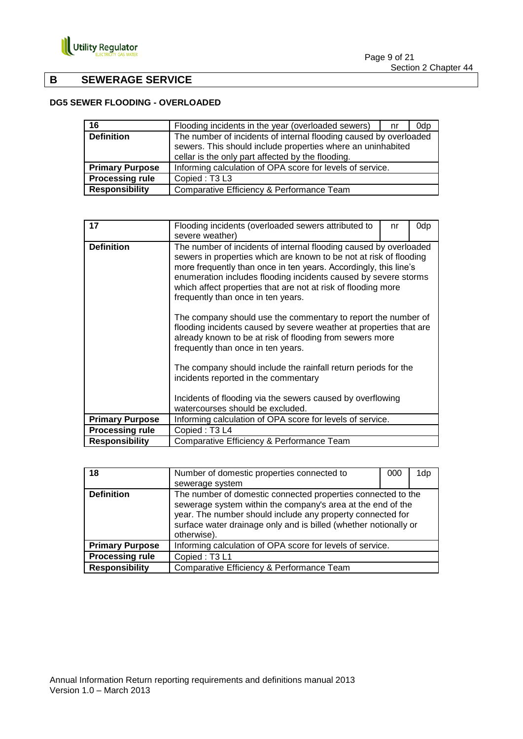

## **B SEWERAGE SERVICE**

## **DG5 SEWER FLOODING - OVERLOADED**

| 16                     | Flooding incidents in the year (overloaded sewers)                                                                                                                                    | nr | 0dp |
|------------------------|---------------------------------------------------------------------------------------------------------------------------------------------------------------------------------------|----|-----|
| <b>Definition</b>      | The number of incidents of internal flooding caused by overloaded<br>sewers. This should include properties where an uninhabited<br>cellar is the only part affected by the flooding. |    |     |
| <b>Primary Purpose</b> | Informing calculation of OPA score for levels of service.                                                                                                                             |    |     |
| <b>Processing rule</b> | Copied: T3L3                                                                                                                                                                          |    |     |
| <b>Responsibility</b>  | Comparative Efficiency & Performance Team                                                                                                                                             |    |     |

| 17                     | Flooding incidents (overloaded sewers attributed to<br>severe weather)                                                                                                                                                                                                                                                                                                                | nr | 0dp |  |
|------------------------|---------------------------------------------------------------------------------------------------------------------------------------------------------------------------------------------------------------------------------------------------------------------------------------------------------------------------------------------------------------------------------------|----|-----|--|
| <b>Definition</b>      | The number of incidents of internal flooding caused by overloaded<br>sewers in properties which are known to be not at risk of flooding<br>more frequently than once in ten years. Accordingly, this line's<br>enumeration includes flooding incidents caused by severe storms<br>which affect properties that are not at risk of flooding more<br>frequently than once in ten years. |    |     |  |
|                        | The company should use the commentary to report the number of<br>flooding incidents caused by severe weather at properties that are<br>already known to be at risk of flooding from sewers more<br>frequently than once in ten years.                                                                                                                                                 |    |     |  |
|                        | The company should include the rainfall return periods for the<br>incidents reported in the commentary                                                                                                                                                                                                                                                                                |    |     |  |
|                        | Incidents of flooding via the sewers caused by overflowing<br>watercourses should be excluded.                                                                                                                                                                                                                                                                                        |    |     |  |
| <b>Primary Purpose</b> | Informing calculation of OPA score for levels of service.                                                                                                                                                                                                                                                                                                                             |    |     |  |
| <b>Processing rule</b> | Copied: T <sub>3</sub> L <sub>4</sub>                                                                                                                                                                                                                                                                                                                                                 |    |     |  |
| <b>Responsibility</b>  | Comparative Efficiency & Performance Team                                                                                                                                                                                                                                                                                                                                             |    |     |  |

| 18                     | Number of domestic properties connected to                                                                                                                                                                                                                                   | 000 | 1dp |
|------------------------|------------------------------------------------------------------------------------------------------------------------------------------------------------------------------------------------------------------------------------------------------------------------------|-----|-----|
|                        | sewerage system                                                                                                                                                                                                                                                              |     |     |
| <b>Definition</b>      | The number of domestic connected properties connected to the<br>sewerage system within the company's area at the end of the<br>year. The number should include any property connected for<br>surface water drainage only and is billed (whether notionally or<br>otherwise). |     |     |
| <b>Primary Purpose</b> | Informing calculation of OPA score for levels of service.                                                                                                                                                                                                                    |     |     |
| <b>Processing rule</b> | Copied: T3L1                                                                                                                                                                                                                                                                 |     |     |
| <b>Responsibility</b>  | Comparative Efficiency & Performance Team                                                                                                                                                                                                                                    |     |     |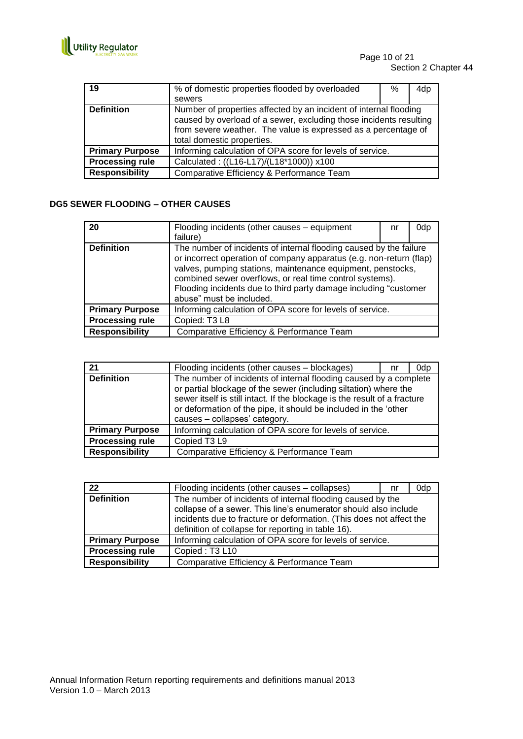

| 19                     | % of domestic properties flooded by overloaded                                                                                                                                                                                          | % | 4dp |
|------------------------|-----------------------------------------------------------------------------------------------------------------------------------------------------------------------------------------------------------------------------------------|---|-----|
|                        | sewers                                                                                                                                                                                                                                  |   |     |
| <b>Definition</b>      | Number of properties affected by an incident of internal flooding<br>caused by overload of a sewer, excluding those incidents resulting<br>from severe weather. The value is expressed as a percentage of<br>total domestic properties. |   |     |
| <b>Primary Purpose</b> | Informing calculation of OPA score for levels of service.                                                                                                                                                                               |   |     |
| <b>Processing rule</b> | Calculated: ((L16-L17)/(L18*1000)) x100                                                                                                                                                                                                 |   |     |
| <b>Responsibility</b>  | Comparative Efficiency & Performance Team                                                                                                                                                                                               |   |     |

## **DG5 SEWER FLOODING – OTHER CAUSES**

| 20                     | Flooding incidents (other causes - equipment<br>failure)                                                                                                                                                                                                                                                                                                             | nr | 0dp |
|------------------------|----------------------------------------------------------------------------------------------------------------------------------------------------------------------------------------------------------------------------------------------------------------------------------------------------------------------------------------------------------------------|----|-----|
| <b>Definition</b>      | The number of incidents of internal flooding caused by the failure<br>or incorrect operation of company apparatus (e.g. non-return (flap)<br>valves, pumping stations, maintenance equipment, penstocks,<br>combined sewer overflows, or real time control systems).<br>Flooding incidents due to third party damage including "customer<br>abuse" must be included. |    |     |
| <b>Primary Purpose</b> | Informing calculation of OPA score for levels of service.                                                                                                                                                                                                                                                                                                            |    |     |
| <b>Processing rule</b> | Copied: T3 L8                                                                                                                                                                                                                                                                                                                                                        |    |     |
| <b>Responsibility</b>  | Comparative Efficiency & Performance Team                                                                                                                                                                                                                                                                                                                            |    |     |

| 21                     | Flooding incidents (other causes - blockages)                                                                                                                                                                                                                                                                          | nr | 0d <sub>p</sub> |
|------------------------|------------------------------------------------------------------------------------------------------------------------------------------------------------------------------------------------------------------------------------------------------------------------------------------------------------------------|----|-----------------|
| <b>Definition</b>      | The number of incidents of internal flooding caused by a complete<br>or partial blockage of the sewer (including siltation) where the<br>sewer itself is still intact. If the blockage is the result of a fracture<br>or deformation of the pipe, it should be included in the 'other<br>causes - collapses' category. |    |                 |
| <b>Primary Purpose</b> | Informing calculation of OPA score for levels of service.                                                                                                                                                                                                                                                              |    |                 |
| <b>Processing rule</b> | Copied T3 L9                                                                                                                                                                                                                                                                                                           |    |                 |
| <b>Responsibility</b>  | Comparative Efficiency & Performance Team                                                                                                                                                                                                                                                                              |    |                 |

| 22                     | Flooding incidents (other causes - collapses)                                                                                                                                                                                                              | nr | 0dp |
|------------------------|------------------------------------------------------------------------------------------------------------------------------------------------------------------------------------------------------------------------------------------------------------|----|-----|
| <b>Definition</b>      | The number of incidents of internal flooding caused by the<br>collapse of a sewer. This line's enumerator should also include<br>incidents due to fracture or deformation. (This does not affect the<br>definition of collapse for reporting in table 16). |    |     |
| <b>Primary Purpose</b> | Informing calculation of OPA score for levels of service.                                                                                                                                                                                                  |    |     |
| <b>Processing rule</b> | Copied: T3 L10                                                                                                                                                                                                                                             |    |     |
| <b>Responsibility</b>  | Comparative Efficiency & Performance Team                                                                                                                                                                                                                  |    |     |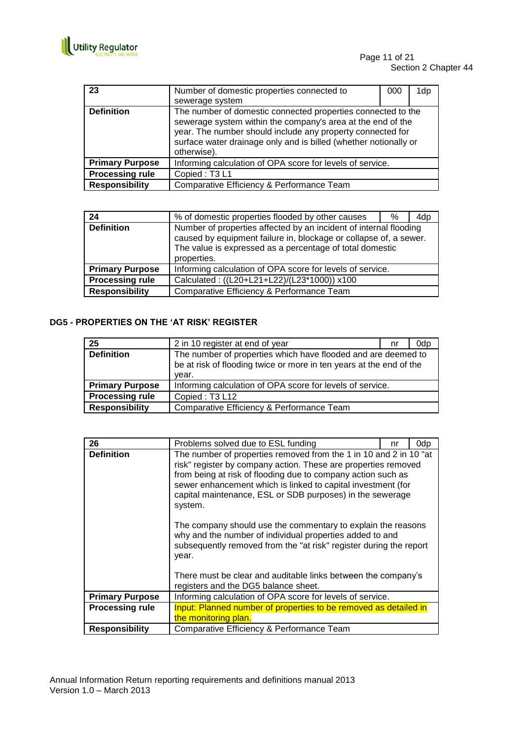

| 23                     | Number of domestic properties connected to<br>sewerage system                                                                                                                                                                                                                | 000 | 1dp |
|------------------------|------------------------------------------------------------------------------------------------------------------------------------------------------------------------------------------------------------------------------------------------------------------------------|-----|-----|
| <b>Definition</b>      | The number of domestic connected properties connected to the<br>sewerage system within the company's area at the end of the<br>year. The number should include any property connected for<br>surface water drainage only and is billed (whether notionally or<br>otherwise). |     |     |
| <b>Primary Purpose</b> | Informing calculation of OPA score for levels of service.                                                                                                                                                                                                                    |     |     |
| <b>Processing rule</b> | Copied: T3L1                                                                                                                                                                                                                                                                 |     |     |
| <b>Responsibility</b>  | Comparative Efficiency & Performance Team                                                                                                                                                                                                                                    |     |     |

| 24                     | % of domestic properties flooded by other causes                                                                                                                                                                  | % | 4dp |
|------------------------|-------------------------------------------------------------------------------------------------------------------------------------------------------------------------------------------------------------------|---|-----|
| <b>Definition</b>      | Number of properties affected by an incident of internal flooding<br>caused by equipment failure in, blockage or collapse of, a sewer.<br>The value is expressed as a percentage of total domestic<br>properties. |   |     |
| <b>Primary Purpose</b> | Informing calculation of OPA score for levels of service.                                                                                                                                                         |   |     |
| <b>Processing rule</b> | Calculated: ((L20+L21+L22)/(L23*1000)) x100                                                                                                                                                                       |   |     |
| <b>Responsibility</b>  | Comparative Efficiency & Performance Team                                                                                                                                                                         |   |     |

## **DG5 - PROPERTIES ON THE 'AT RISK' REGISTER**

| 25                     | 2 in 10 register at end of year                                                                                                               | nr | 0dp |
|------------------------|-----------------------------------------------------------------------------------------------------------------------------------------------|----|-----|
| <b>Definition</b>      | The number of properties which have flooded and are deemed to<br>be at risk of flooding twice or more in ten years at the end of the<br>vear. |    |     |
| <b>Primary Purpose</b> | Informing calculation of OPA score for levels of service.                                                                                     |    |     |
| <b>Processing rule</b> | Copied: T3 L12                                                                                                                                |    |     |
| <b>Responsibility</b>  | Comparative Efficiency & Performance Team                                                                                                     |    |     |

| 26                     | Problems solved due to ESL funding                                                                                                                                                                                                                                                                                                                                                                                                                                                                                                                     | nr | 0dp |  |
|------------------------|--------------------------------------------------------------------------------------------------------------------------------------------------------------------------------------------------------------------------------------------------------------------------------------------------------------------------------------------------------------------------------------------------------------------------------------------------------------------------------------------------------------------------------------------------------|----|-----|--|
| <b>Definition</b>      | The number of properties removed from the 1 in 10 and 2 in 10 "at<br>risk" register by company action. These are properties removed<br>from being at risk of flooding due to company action such as<br>sewer enhancement which is linked to capital investment (for<br>capital maintenance, ESL or SDB purposes) in the sewerage<br>system.<br>The company should use the commentary to explain the reasons<br>why and the number of individual properties added to and<br>subsequently removed from the "at risk" register during the report<br>year. |    |     |  |
|                        |                                                                                                                                                                                                                                                                                                                                                                                                                                                                                                                                                        |    |     |  |
|                        | There must be clear and auditable links between the company's<br>registers and the DG5 balance sheet.                                                                                                                                                                                                                                                                                                                                                                                                                                                  |    |     |  |
| <b>Primary Purpose</b> | Informing calculation of OPA score for levels of service.                                                                                                                                                                                                                                                                                                                                                                                                                                                                                              |    |     |  |
| <b>Processing rule</b> | Input: Planned number of properties to be removed as detailed in                                                                                                                                                                                                                                                                                                                                                                                                                                                                                       |    |     |  |
|                        | the monitoring plan.                                                                                                                                                                                                                                                                                                                                                                                                                                                                                                                                   |    |     |  |
| <b>Responsibility</b>  | Comparative Efficiency & Performance Team                                                                                                                                                                                                                                                                                                                                                                                                                                                                                                              |    |     |  |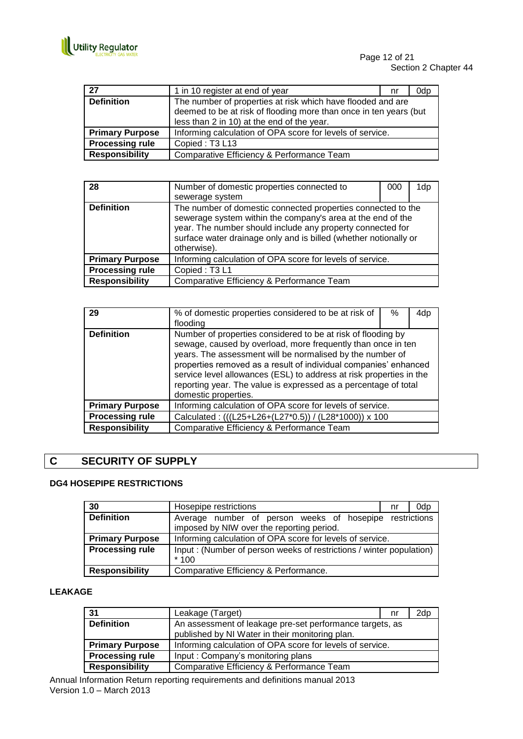

| 27                     | 1 in 10 register at end of year                                   | nr | 0dp |
|------------------------|-------------------------------------------------------------------|----|-----|
| <b>Definition</b>      | The number of properties at risk which have flooded and are       |    |     |
|                        | deemed to be at risk of flooding more than once in ten years (but |    |     |
|                        | less than 2 in 10) at the end of the year.                        |    |     |
| <b>Primary Purpose</b> | Informing calculation of OPA score for levels of service.         |    |     |
| <b>Processing rule</b> | Copied: T3 L13                                                    |    |     |
| <b>Responsibility</b>  | Comparative Efficiency & Performance Team                         |    |     |

| 28                     | Number of domestic properties connected to<br>sewerage system                                                                                                                                                                                                                | 000 | 1dp |
|------------------------|------------------------------------------------------------------------------------------------------------------------------------------------------------------------------------------------------------------------------------------------------------------------------|-----|-----|
| <b>Definition</b>      | The number of domestic connected properties connected to the<br>sewerage system within the company's area at the end of the<br>year. The number should include any property connected for<br>surface water drainage only and is billed (whether notionally or<br>otherwise). |     |     |
| <b>Primary Purpose</b> | Informing calculation of OPA score for levels of service.                                                                                                                                                                                                                    |     |     |
| <b>Processing rule</b> | Copied: T3L1                                                                                                                                                                                                                                                                 |     |     |
| <b>Responsibility</b>  | Comparative Efficiency & Performance Team                                                                                                                                                                                                                                    |     |     |

| 29                     | % of domestic properties considered to be at risk of<br>flooding                                                                                                                                                                                                                                                                                                                                                                | % | 4dp |
|------------------------|---------------------------------------------------------------------------------------------------------------------------------------------------------------------------------------------------------------------------------------------------------------------------------------------------------------------------------------------------------------------------------------------------------------------------------|---|-----|
| <b>Definition</b>      | Number of properties considered to be at risk of flooding by<br>sewage, caused by overload, more frequently than once in ten<br>years. The assessment will be normalised by the number of<br>properties removed as a result of individual companies' enhanced<br>service level allowances (ESL) to address at risk properties in the<br>reporting year. The value is expressed as a percentage of total<br>domestic properties. |   |     |
| <b>Primary Purpose</b> | Informing calculation of OPA score for levels of service.                                                                                                                                                                                                                                                                                                                                                                       |   |     |
| <b>Processing rule</b> | Calculated: (((L25+L26+(L27*0.5)) / (L28*1000)) x 100                                                                                                                                                                                                                                                                                                                                                                           |   |     |
| <b>Responsibility</b>  | Comparative Efficiency & Performance Team                                                                                                                                                                                                                                                                                                                                                                                       |   |     |

## **C SECURITY OF SUPPLY**

## **DG4 HOSEPIPE RESTRICTIONS**

| 30                     | Hosepipe restrictions                                               | nr | 0dp |
|------------------------|---------------------------------------------------------------------|----|-----|
| <b>Definition</b>      | Average number of person weeks of hosepipe restrictions             |    |     |
|                        | imposed by NIW over the reporting period.                           |    |     |
| <b>Primary Purpose</b> | Informing calculation of OPA score for levels of service.           |    |     |
| <b>Processing rule</b> | Input: (Number of person weeks of restrictions / winter population) |    |     |
|                        | $*100$                                                              |    |     |
| <b>Responsibility</b>  | Comparative Efficiency & Performance.                               |    |     |

## **LEAKAGE**

| 31                     | Leakage (Target)                                                                                            | nr | 2dp |
|------------------------|-------------------------------------------------------------------------------------------------------------|----|-----|
| <b>Definition</b>      | An assessment of leakage pre-set performance targets, as<br>published by NI Water in their monitoring plan. |    |     |
| <b>Primary Purpose</b> | Informing calculation of OPA score for levels of service.                                                   |    |     |
| <b>Processing rule</b> | Input: Company's monitoring plans                                                                           |    |     |
| <b>Responsibility</b>  | Comparative Efficiency & Performance Team                                                                   |    |     |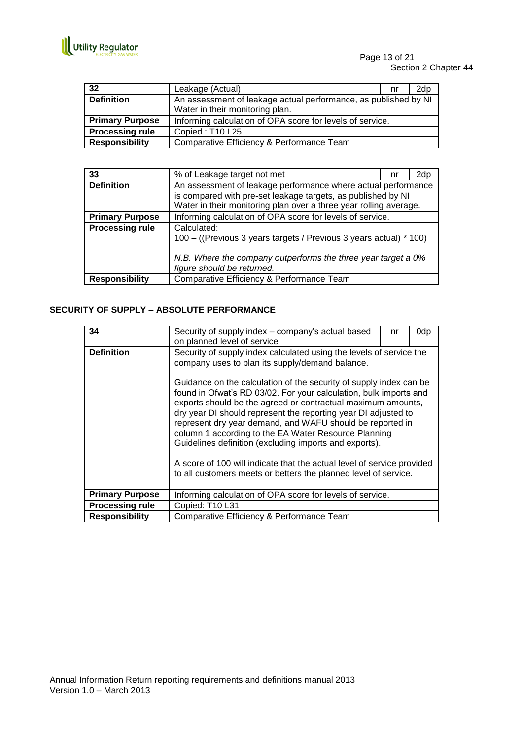

| 32                     | Leakage (Actual)                                                | nr | 2dp |
|------------------------|-----------------------------------------------------------------|----|-----|
| <b>Definition</b>      | An assessment of leakage actual performance, as published by NI |    |     |
|                        | Water in their monitoring plan.                                 |    |     |
| <b>Primary Purpose</b> | Informing calculation of OPA score for levels of service.       |    |     |
| <b>Processing rule</b> | Copied: T10 L25                                                 |    |     |
| <b>Responsibility</b>  | Comparative Efficiency & Performance Team                       |    |     |

| 33                     | % of Leakage target not met                                                                 | nr | 2dp |
|------------------------|---------------------------------------------------------------------------------------------|----|-----|
| <b>Definition</b>      | An assessment of leakage performance where actual performance                               |    |     |
|                        | is compared with pre-set leakage targets, as published by NI                                |    |     |
|                        | Water in their monitoring plan over a three year rolling average.                           |    |     |
| <b>Primary Purpose</b> | Informing calculation of OPA score for levels of service.                                   |    |     |
| <b>Processing rule</b> | Calculated:                                                                                 |    |     |
|                        | 100 – ((Previous 3 years targets / Previous 3 years actual) * 100)                          |    |     |
|                        | N.B. Where the company outperforms the three year target a 0%<br>figure should be returned. |    |     |
| <b>Responsibility</b>  | Comparative Efficiency & Performance Team                                                   |    |     |

## **SECURITY OF SUPPLY – ABSOLUTE PERFORMANCE**

| 34                     | Security of supply index – company's actual based<br>0dp<br>nr<br>on planned level of service                                                                                                                                                                                                                                                                                                                                                                                                                                                                                                         |  |  |
|------------------------|-------------------------------------------------------------------------------------------------------------------------------------------------------------------------------------------------------------------------------------------------------------------------------------------------------------------------------------------------------------------------------------------------------------------------------------------------------------------------------------------------------------------------------------------------------------------------------------------------------|--|--|
| <b>Definition</b>      | Security of supply index calculated using the levels of service the<br>company uses to plan its supply/demand balance.                                                                                                                                                                                                                                                                                                                                                                                                                                                                                |  |  |
|                        | Guidance on the calculation of the security of supply index can be<br>found in Ofwat's RD 03/02. For your calculation, bulk imports and<br>exports should be the agreed or contractual maximum amounts,<br>dry year DI should represent the reporting year DI adjusted to<br>represent dry year demand, and WAFU should be reported in<br>column 1 according to the EA Water Resource Planning<br>Guidelines definition (excluding imports and exports).<br>A score of 100 will indicate that the actual level of service provided<br>to all customers meets or betters the planned level of service. |  |  |
| <b>Primary Purpose</b> | Informing calculation of OPA score for levels of service.                                                                                                                                                                                                                                                                                                                                                                                                                                                                                                                                             |  |  |
| <b>Processing rule</b> | Copied: T10 L31                                                                                                                                                                                                                                                                                                                                                                                                                                                                                                                                                                                       |  |  |
| <b>Responsibility</b>  | Comparative Efficiency & Performance Team                                                                                                                                                                                                                                                                                                                                                                                                                                                                                                                                                             |  |  |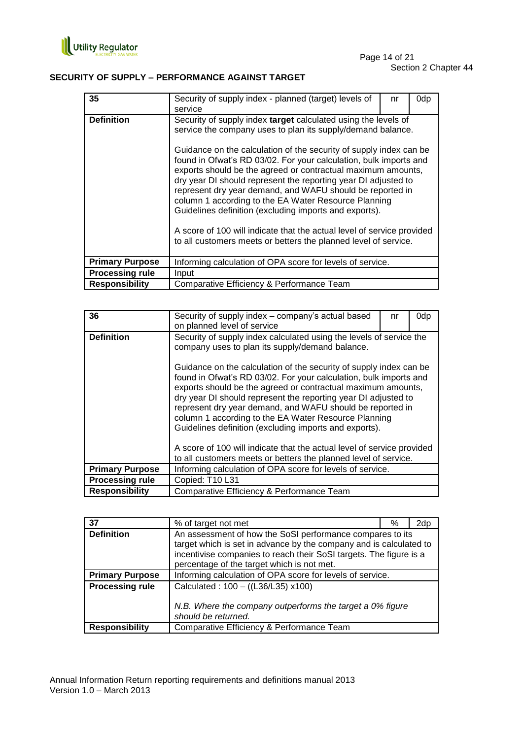

## **SECURITY OF SUPPLY – PERFORMANCE AGAINST TARGET**

| 35                     | Security of supply index - planned (target) levels of<br>service                                                                                                                                                                                                                                                                                                                                                                                                                                                                                                                                                                                                                                                                       | nr | 0dp |
|------------------------|----------------------------------------------------------------------------------------------------------------------------------------------------------------------------------------------------------------------------------------------------------------------------------------------------------------------------------------------------------------------------------------------------------------------------------------------------------------------------------------------------------------------------------------------------------------------------------------------------------------------------------------------------------------------------------------------------------------------------------------|----|-----|
| <b>Definition</b>      | Security of supply index target calculated using the levels of<br>service the company uses to plan its supply/demand balance.<br>Guidance on the calculation of the security of supply index can be<br>found in Ofwat's RD 03/02. For your calculation, bulk imports and<br>exports should be the agreed or contractual maximum amounts,<br>dry year DI should represent the reporting year DI adjusted to<br>represent dry year demand, and WAFU should be reported in<br>column 1 according to the EA Water Resource Planning<br>Guidelines definition (excluding imports and exports).<br>A score of 100 will indicate that the actual level of service provided<br>to all customers meets or betters the planned level of service. |    |     |
| <b>Primary Purpose</b> | Informing calculation of OPA score for levels of service.                                                                                                                                                                                                                                                                                                                                                                                                                                                                                                                                                                                                                                                                              |    |     |
| <b>Processing rule</b> | Input                                                                                                                                                                                                                                                                                                                                                                                                                                                                                                                                                                                                                                                                                                                                  |    |     |
| <b>Responsibility</b>  | Comparative Efficiency & Performance Team                                                                                                                                                                                                                                                                                                                                                                                                                                                                                                                                                                                                                                                                                              |    |     |

| 36                     | Security of supply index – company's actual based<br>on planned level of service                                                                                                                                                                                                                                                                                                                                                                                                                                                   | nr | 0dp |  |
|------------------------|------------------------------------------------------------------------------------------------------------------------------------------------------------------------------------------------------------------------------------------------------------------------------------------------------------------------------------------------------------------------------------------------------------------------------------------------------------------------------------------------------------------------------------|----|-----|--|
| <b>Definition</b>      | Security of supply index calculated using the levels of service the<br>company uses to plan its supply/demand balance.                                                                                                                                                                                                                                                                                                                                                                                                             |    |     |  |
|                        | Guidance on the calculation of the security of supply index can be<br>found in Ofwat's RD 03/02. For your calculation, bulk imports and<br>exports should be the agreed or contractual maximum amounts,<br>dry year DI should represent the reporting year DI adjusted to<br>represent dry year demand, and WAFU should be reported in<br>column 1 according to the EA Water Resource Planning<br>Guidelines definition (excluding imports and exports).<br>A score of 100 will indicate that the actual level of service provided |    |     |  |
|                        | to all customers meets or betters the planned level of service.                                                                                                                                                                                                                                                                                                                                                                                                                                                                    |    |     |  |
| <b>Primary Purpose</b> | Informing calculation of OPA score for levels of service.                                                                                                                                                                                                                                                                                                                                                                                                                                                                          |    |     |  |
| <b>Processing rule</b> | Copied: T10 L31                                                                                                                                                                                                                                                                                                                                                                                                                                                                                                                    |    |     |  |
| <b>Responsibility</b>  | Comparative Efficiency & Performance Team                                                                                                                                                                                                                                                                                                                                                                                                                                                                                          |    |     |  |

| 37                     | % of target not met                                                                                                                                                                                                                                 | % | 2dp |
|------------------------|-----------------------------------------------------------------------------------------------------------------------------------------------------------------------------------------------------------------------------------------------------|---|-----|
| <b>Definition</b>      | An assessment of how the SoSI performance compares to its<br>target which is set in advance by the company and is calculated to<br>incentivise companies to reach their SoSI targets. The figure is a<br>percentage of the target which is not met. |   |     |
| <b>Primary Purpose</b> | Informing calculation of OPA score for levels of service.                                                                                                                                                                                           |   |     |
| <b>Processing rule</b> | Calculated: 100 - ((L36/L35) x100)<br>N.B. Where the company outperforms the target a 0% figure<br>should be returned.                                                                                                                              |   |     |
| <b>Responsibility</b>  | Comparative Efficiency & Performance Team                                                                                                                                                                                                           |   |     |
|                        |                                                                                                                                                                                                                                                     |   |     |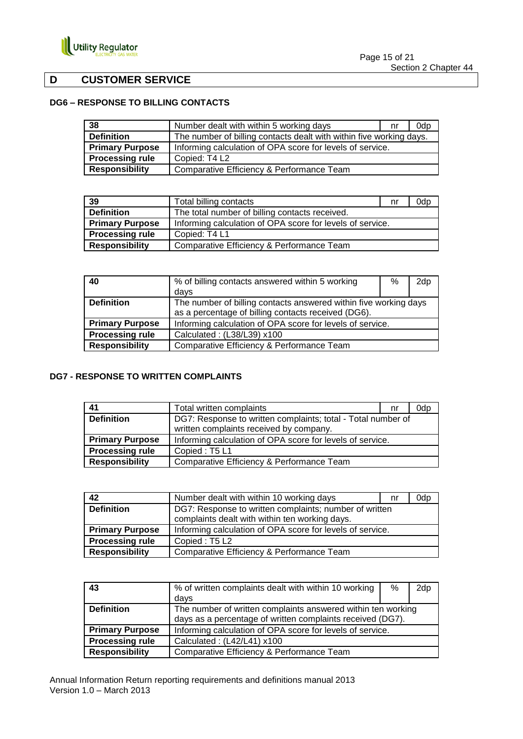

## **D CUSTOMER SERVICE**

## **DG6 – RESPONSE TO BILLING CONTACTS**

| 38                     | Number dealt with within 5 working days                             | nr | 0dp |
|------------------------|---------------------------------------------------------------------|----|-----|
| <b>Definition</b>      | The number of billing contacts dealt with within five working days. |    |     |
| <b>Primary Purpose</b> | Informing calculation of OPA score for levels of service.           |    |     |
| <b>Processing rule</b> | Copied: T4 L2                                                       |    |     |
| <b>Responsibility</b>  | Comparative Efficiency & Performance Team                           |    |     |

| 39                     | Total billing contacts                                    | nr | 0dp |
|------------------------|-----------------------------------------------------------|----|-----|
| <b>Definition</b>      | The total number of billing contacts received.            |    |     |
| <b>Primary Purpose</b> | Informing calculation of OPA score for levels of service. |    |     |
| <b>Processing rule</b> | Copied: T4 L1                                             |    |     |
| <b>Responsibility</b>  | Comparative Efficiency & Performance Team                 |    |     |

| 40                     | % of billing contacts answered within 5 working                  | % | 2dp |
|------------------------|------------------------------------------------------------------|---|-----|
|                        | davs                                                             |   |     |
| <b>Definition</b>      | The number of billing contacts answered within five working days |   |     |
|                        | as a percentage of billing contacts received (DG6).              |   |     |
| <b>Primary Purpose</b> | Informing calculation of OPA score for levels of service.        |   |     |
| <b>Processing rule</b> | Calculated: (L38/L39) x100                                       |   |     |
| <b>Responsibility</b>  | Comparative Efficiency & Performance Team                        |   |     |

## **DG7 - RESPONSE TO WRITTEN COMPLAINTS**

| 41                     | Total written complaints                                     | nr | 0dp |
|------------------------|--------------------------------------------------------------|----|-----|
| <b>Definition</b>      | DG7: Response to written complaints; total - Total number of |    |     |
|                        | written complaints received by company.                      |    |     |
| <b>Primary Purpose</b> | Informing calculation of OPA score for levels of service.    |    |     |
| <b>Processing rule</b> | Copied: T5 L1                                                |    |     |
| <b>Responsibility</b>  | Comparative Efficiency & Performance Team                    |    |     |

| 42                     | Number dealt with within 10 working days                  | nr | 0dp |
|------------------------|-----------------------------------------------------------|----|-----|
| <b>Definition</b>      | DG7: Response to written complaints; number of written    |    |     |
|                        | complaints dealt with within ten working days.            |    |     |
| <b>Primary Purpose</b> | Informing calculation of OPA score for levels of service. |    |     |
| <b>Processing rule</b> | Copied: T5 L2                                             |    |     |
| <b>Responsibility</b>  | Comparative Efficiency & Performance Team                 |    |     |

| 43                     | % of written complaints dealt with within 10 working         | % | 2dp |
|------------------------|--------------------------------------------------------------|---|-----|
|                        | days                                                         |   |     |
| <b>Definition</b>      | The number of written complaints answered within ten working |   |     |
|                        | days as a percentage of written complaints received (DG7).   |   |     |
| <b>Primary Purpose</b> | Informing calculation of OPA score for levels of service.    |   |     |
| <b>Processing rule</b> | Calculated: (L42/L41) x100                                   |   |     |
| <b>Responsibility</b>  | Comparative Efficiency & Performance Team                    |   |     |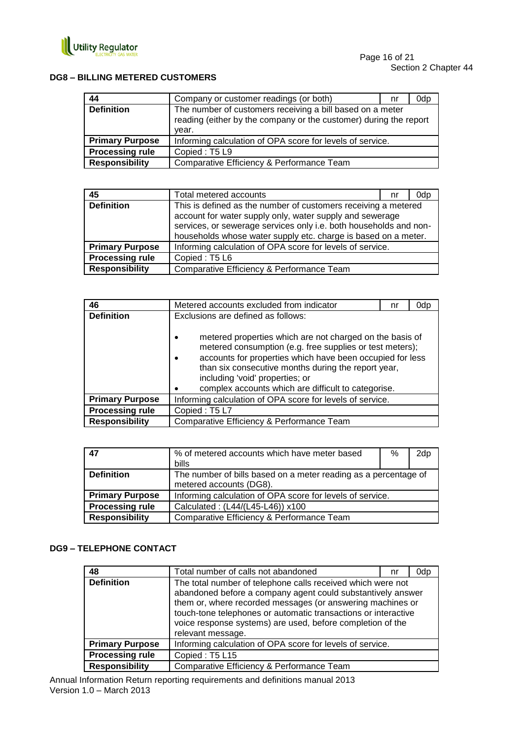

## **DG8 – BILLING METERED CUSTOMERS**

| 44                     | Company or customer readings (or both)                                                                                                  | nr | 0dp |
|------------------------|-----------------------------------------------------------------------------------------------------------------------------------------|----|-----|
| <b>Definition</b>      | The number of customers receiving a bill based on a meter<br>reading (either by the company or the customer) during the report<br>vear. |    |     |
| <b>Primary Purpose</b> | Informing calculation of OPA score for levels of service.                                                                               |    |     |
| <b>Processing rule</b> | Copied: T5 L9                                                                                                                           |    |     |
| <b>Responsibility</b>  | Comparative Efficiency & Performance Team                                                                                               |    |     |

| 45                     | Total metered accounts                                                                                                                                                                                                                                            | nr | 0dp |
|------------------------|-------------------------------------------------------------------------------------------------------------------------------------------------------------------------------------------------------------------------------------------------------------------|----|-----|
| <b>Definition</b>      | This is defined as the number of customers receiving a metered<br>account for water supply only, water supply and sewerage<br>services, or sewerage services only i.e. both households and non-<br>households whose water supply etc. charge is based on a meter. |    |     |
| <b>Primary Purpose</b> | Informing calculation of OPA score for levels of service.                                                                                                                                                                                                         |    |     |
| <b>Processing rule</b> | Copied: T5 L6                                                                                                                                                                                                                                                     |    |     |
| <b>Responsibility</b>  | Comparative Efficiency & Performance Team                                                                                                                                                                                                                         |    |     |

| 46                     | Metered accounts excluded from indicator                                                                                                                                                                                                                                                                                                             | nr | 0dp |
|------------------------|------------------------------------------------------------------------------------------------------------------------------------------------------------------------------------------------------------------------------------------------------------------------------------------------------------------------------------------------------|----|-----|
| <b>Definition</b>      | Exclusions are defined as follows:                                                                                                                                                                                                                                                                                                                   |    |     |
|                        | metered properties which are not charged on the basis of<br>$\bullet$<br>metered consumption (e.g. free supplies or test meters);<br>accounts for properties which have been occupied for less<br>٠<br>than six consecutive months during the report year,<br>including 'void' properties; or<br>complex accounts which are difficult to categorise. |    |     |
| <b>Primary Purpose</b> | Informing calculation of OPA score for levels of service.                                                                                                                                                                                                                                                                                            |    |     |
| <b>Processing rule</b> | Copied: T5L7                                                                                                                                                                                                                                                                                                                                         |    |     |
| <b>Responsibility</b>  | Comparative Efficiency & Performance Team                                                                                                                                                                                                                                                                                                            |    |     |

| 47                     | % of metered accounts which have meter based                    | % | 2dp |
|------------------------|-----------------------------------------------------------------|---|-----|
|                        | <b>bills</b>                                                    |   |     |
| <b>Definition</b>      | The number of bills based on a meter reading as a percentage of |   |     |
|                        | metered accounts (DG8).                                         |   |     |
| <b>Primary Purpose</b> | Informing calculation of OPA score for levels of service.       |   |     |
| <b>Processing rule</b> | Calculated: (L44/(L45-L46)) x100                                |   |     |
| <b>Responsibility</b>  | Comparative Efficiency & Performance Team                       |   |     |

## **DG9 – TELEPHONE CONTACT**

| 48                     | Total number of calls not abandoned                                                                                                                                                                                                                                                                                                           | nr | 0dp |
|------------------------|-----------------------------------------------------------------------------------------------------------------------------------------------------------------------------------------------------------------------------------------------------------------------------------------------------------------------------------------------|----|-----|
| <b>Definition</b>      | The total number of telephone calls received which were not<br>abandoned before a company agent could substantively answer<br>them or, where recorded messages (or answering machines or<br>touch-tone telephones or automatic transactions or interactive<br>voice response systems) are used, before completion of the<br>relevant message. |    |     |
| <b>Primary Purpose</b> | Informing calculation of OPA score for levels of service.                                                                                                                                                                                                                                                                                     |    |     |
| <b>Processing rule</b> | Copied: T5 L15                                                                                                                                                                                                                                                                                                                                |    |     |
| <b>Responsibility</b>  | Comparative Efficiency & Performance Team                                                                                                                                                                                                                                                                                                     |    |     |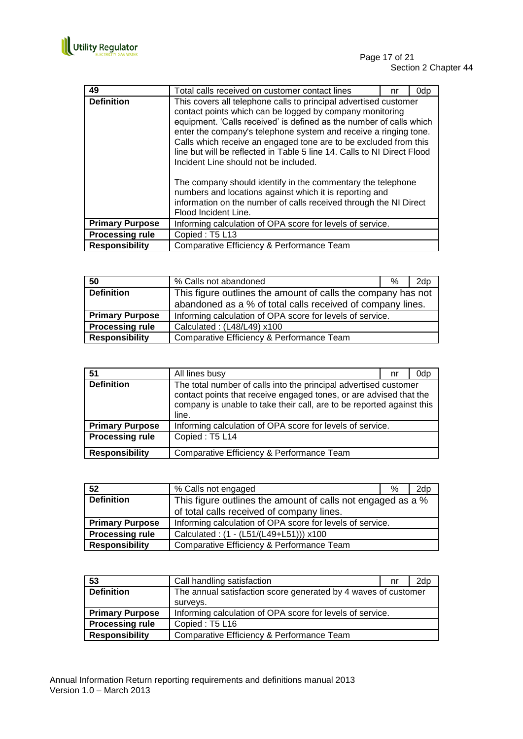

| 49                     | Total calls received on customer contact lines                                                                                                                                                                                                                                                                                                                                                                                                                  | nr | 0dp |
|------------------------|-----------------------------------------------------------------------------------------------------------------------------------------------------------------------------------------------------------------------------------------------------------------------------------------------------------------------------------------------------------------------------------------------------------------------------------------------------------------|----|-----|
| <b>Definition</b>      | This covers all telephone calls to principal advertised customer<br>contact points which can be logged by company monitoring<br>equipment. 'Calls received' is defined as the number of calls which<br>enter the company's telephone system and receive a ringing tone.<br>Calls which receive an engaged tone are to be excluded from this<br>line but will be reflected in Table 5 line 14. Calls to NI Direct Flood<br>Incident Line should not be included. |    |     |
|                        | The company should identify in the commentary the telephone<br>numbers and locations against which it is reporting and<br>information on the number of calls received through the NI Direct<br>Flood Incident Line.                                                                                                                                                                                                                                             |    |     |
| <b>Primary Purpose</b> | Informing calculation of OPA score for levels of service.                                                                                                                                                                                                                                                                                                                                                                                                       |    |     |
| <b>Processing rule</b> | Copied: T5 L13                                                                                                                                                                                                                                                                                                                                                                                                                                                  |    |     |
| <b>Responsibility</b>  | Comparative Efficiency & Performance Team                                                                                                                                                                                                                                                                                                                                                                                                                       |    |     |

| 50                     | % Calls not abandoned                                        | ℅ | 2d <sub>p</sub> |
|------------------------|--------------------------------------------------------------|---|-----------------|
| <b>Definition</b>      | This figure outlines the amount of calls the company has not |   |                 |
|                        | abandoned as a % of total calls received of company lines.   |   |                 |
| <b>Primary Purpose</b> | Informing calculation of OPA score for levels of service.    |   |                 |
| <b>Processing rule</b> | Calculated: (L48/L49) x100                                   |   |                 |
| <b>Responsibility</b>  | Comparative Efficiency & Performance Team                    |   |                 |

| 51                     | All lines busy                                                                                                                                                                                                           | nr | 0dp |
|------------------------|--------------------------------------------------------------------------------------------------------------------------------------------------------------------------------------------------------------------------|----|-----|
| <b>Definition</b>      | The total number of calls into the principal advertised customer<br>contact points that receive engaged tones, or are advised that the<br>company is unable to take their call, are to be reported against this<br>line. |    |     |
| <b>Primary Purpose</b> | Informing calculation of OPA score for levels of service.                                                                                                                                                                |    |     |
| <b>Processing rule</b> | Copied: T5 L14                                                                                                                                                                                                           |    |     |
| <b>Responsibility</b>  | Comparative Efficiency & Performance Team                                                                                                                                                                                |    |     |

| 52                     | % Calls not engaged                                         | ℅ | 2dp |
|------------------------|-------------------------------------------------------------|---|-----|
| <b>Definition</b>      | This figure outlines the amount of calls not engaged as a % |   |     |
|                        | of total calls received of company lines.                   |   |     |
| <b>Primary Purpose</b> | Informing calculation of OPA score for levels of service.   |   |     |
| <b>Processing rule</b> | Calculated: (1 - (L51/(L49+L51))) x100                      |   |     |
| <b>Responsibility</b>  | Comparative Efficiency & Performance Team                   |   |     |

| 53                     | Call handling satisfaction                                     | nr | 2dp |
|------------------------|----------------------------------------------------------------|----|-----|
| <b>Definition</b>      | The annual satisfaction score generated by 4 waves of customer |    |     |
|                        | surveys.                                                       |    |     |
| <b>Primary Purpose</b> | Informing calculation of OPA score for levels of service.      |    |     |
| <b>Processing rule</b> | Copied: T5 L16                                                 |    |     |
| <b>Responsibility</b>  | Comparative Efficiency & Performance Team                      |    |     |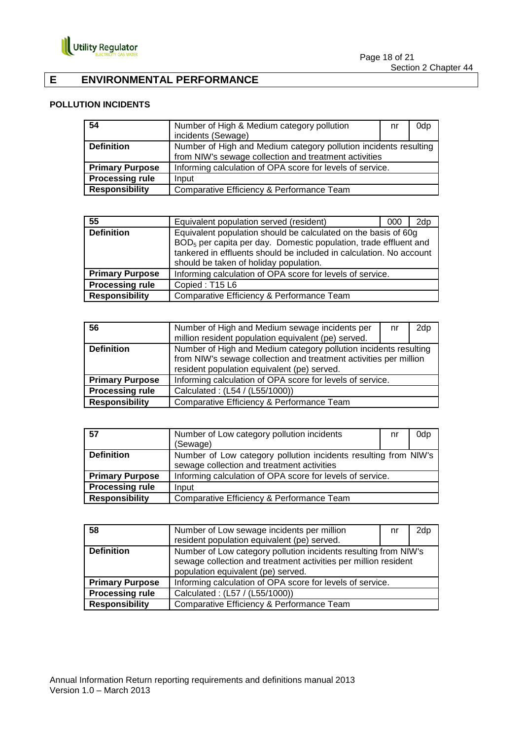

Page 18 of 21 Section 2 Chapter 44

## **E ENVIRONMENTAL PERFORMANCE**

## **POLLUTION INCIDENTS**

| 54                     | Number of High & Medium category pollution                       | nr | 0dp |
|------------------------|------------------------------------------------------------------|----|-----|
|                        | incidents (Sewage)                                               |    |     |
| <b>Definition</b>      | Number of High and Medium category pollution incidents resulting |    |     |
|                        | from NIW's sewage collection and treatment activities            |    |     |
| <b>Primary Purpose</b> | Informing calculation of OPA score for levels of service.        |    |     |
| <b>Processing rule</b> | Input                                                            |    |     |
| <b>Responsibility</b>  | Comparative Efficiency & Performance Team                        |    |     |

| 55                     | Equivalent population served (resident)                                                                                                                                                                                                                         | 000 | 2d <sub>p</sub> |
|------------------------|-----------------------------------------------------------------------------------------------------------------------------------------------------------------------------------------------------------------------------------------------------------------|-----|-----------------|
| <b>Definition</b>      | Equivalent population should be calculated on the basis of 60g<br>BOD <sub>5</sub> per capita per day. Domestic population, trade effluent and<br>tankered in effluents should be included in calculation. No account<br>should be taken of holiday population. |     |                 |
| <b>Primary Purpose</b> | Informing calculation of OPA score for levels of service.                                                                                                                                                                                                       |     |                 |
| <b>Processing rule</b> | Copied: T15 L6                                                                                                                                                                                                                                                  |     |                 |
| <b>Responsibility</b>  | Comparative Efficiency & Performance Team                                                                                                                                                                                                                       |     |                 |

| 56                     | Number of High and Medium sewage incidents per<br>million resident population equivalent (pe) served.                                                                                | nr | 2dp |
|------------------------|--------------------------------------------------------------------------------------------------------------------------------------------------------------------------------------|----|-----|
| <b>Definition</b>      | Number of High and Medium category pollution incidents resulting<br>from NIW's sewage collection and treatment activities per million<br>resident population equivalent (pe) served. |    |     |
| <b>Primary Purpose</b> | Informing calculation of OPA score for levels of service.                                                                                                                            |    |     |
| <b>Processing rule</b> | Calculated: (L54 / (L55/1000))                                                                                                                                                       |    |     |
| <b>Responsibility</b>  | Comparative Efficiency & Performance Team                                                                                                                                            |    |     |

| $\overline{57}$        | Number of Low category pollution incidents                      | nr | 0dp |
|------------------------|-----------------------------------------------------------------|----|-----|
|                        | (Sewage)                                                        |    |     |
| <b>Definition</b>      | Number of Low category pollution incidents resulting from NIW's |    |     |
|                        | sewage collection and treatment activities                      |    |     |
| <b>Primary Purpose</b> | Informing calculation of OPA score for levels of service.       |    |     |
| <b>Processing rule</b> | Input                                                           |    |     |
| <b>Responsibility</b>  | Comparative Efficiency & Performance Team                       |    |     |

| 58                     | Number of Low sewage incidents per million                                                                                                                               | nr | 2dp |
|------------------------|--------------------------------------------------------------------------------------------------------------------------------------------------------------------------|----|-----|
|                        | resident population equivalent (pe) served.                                                                                                                              |    |     |
| <b>Definition</b>      | Number of Low category pollution incidents resulting from NIW's<br>sewage collection and treatment activities per million resident<br>population equivalent (pe) served. |    |     |
| <b>Primary Purpose</b> | Informing calculation of OPA score for levels of service.                                                                                                                |    |     |
| <b>Processing rule</b> | Calculated: (L57 / (L55/1000))                                                                                                                                           |    |     |
| <b>Responsibility</b>  | Comparative Efficiency & Performance Team                                                                                                                                |    |     |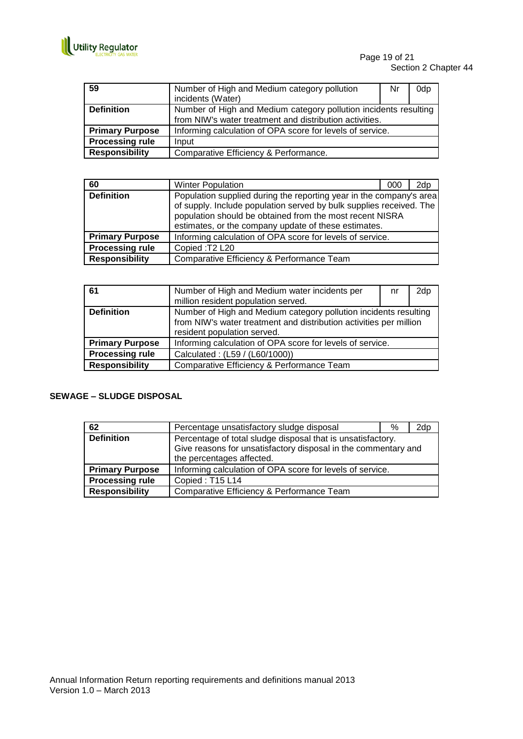

| 59                     | Number of High and Medium category pollution<br>incidents (Water)                                                           | Nr | 0dp |
|------------------------|-----------------------------------------------------------------------------------------------------------------------------|----|-----|
| <b>Definition</b>      | Number of High and Medium category pollution incidents resulting<br>from NIW's water treatment and distribution activities. |    |     |
| <b>Primary Purpose</b> | Informing calculation of OPA score for levels of service.                                                                   |    |     |
| <b>Processing rule</b> | Input                                                                                                                       |    |     |
| <b>Responsibility</b>  | Comparative Efficiency & Performance.                                                                                       |    |     |

| 60                     | <b>Winter Population</b>                                                                                                                                                                                                                                       | 000 | 2dn |
|------------------------|----------------------------------------------------------------------------------------------------------------------------------------------------------------------------------------------------------------------------------------------------------------|-----|-----|
| <b>Definition</b>      | Population supplied during the reporting year in the company's area<br>of supply. Include population served by bulk supplies received. The<br>population should be obtained from the most recent NISRA<br>estimates, or the company update of these estimates. |     |     |
| <b>Primary Purpose</b> | Informing calculation of OPA score for levels of service.                                                                                                                                                                                                      |     |     |
| <b>Processing rule</b> | Copied: T2 L20                                                                                                                                                                                                                                                 |     |     |
| <b>Responsibility</b>  | Comparative Efficiency & Performance Team                                                                                                                                                                                                                      |     |     |

| 61                     | Number of High and Medium water incidents per<br>million resident population served.                                                                                  | nr | 2dp |
|------------------------|-----------------------------------------------------------------------------------------------------------------------------------------------------------------------|----|-----|
| <b>Definition</b>      | Number of High and Medium category pollution incidents resulting<br>from NIW's water treatment and distribution activities per million<br>resident population served. |    |     |
| <b>Primary Purpose</b> | Informing calculation of OPA score for levels of service.                                                                                                             |    |     |
| <b>Processing rule</b> | Calculated: (L59 / (L60/1000))                                                                                                                                        |    |     |
| <b>Responsibility</b>  | Comparative Efficiency & Performance Team                                                                                                                             |    |     |

## **SEWAGE – SLUDGE DISPOSAL**

| 62                     | Percentage unsatisfactory sludge disposal                                                                                                                  | % | 2dp |
|------------------------|------------------------------------------------------------------------------------------------------------------------------------------------------------|---|-----|
| <b>Definition</b>      | Percentage of total sludge disposal that is unsatisfactory.<br>Give reasons for unsatisfactory disposal in the commentary and<br>the percentages affected. |   |     |
| <b>Primary Purpose</b> | Informing calculation of OPA score for levels of service.                                                                                                  |   |     |
| <b>Processing rule</b> | Copied: T15 L14                                                                                                                                            |   |     |
| <b>Responsibility</b>  | Comparative Efficiency & Performance Team                                                                                                                  |   |     |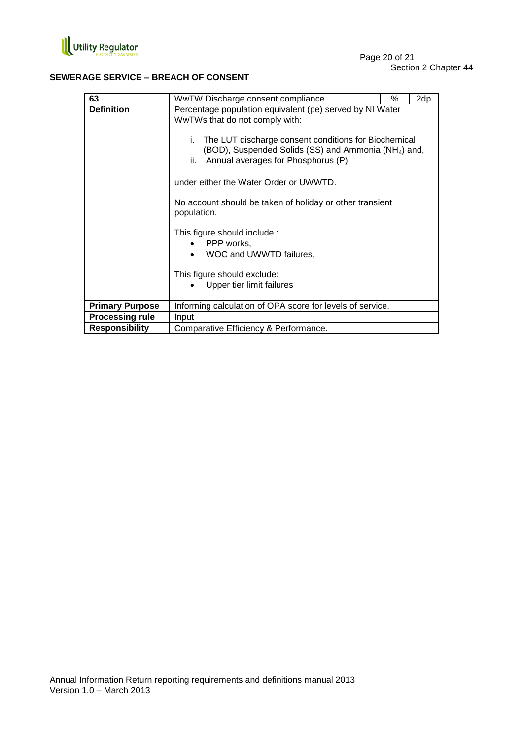

## **SEWERAGE SERVICE – BREACH OF CONSENT**

| 63                     | WwTW Discharge consent compliance                                                                                                                                                                                                                                                                                                                                                                                                                                                                                                   | % | 2dp |
|------------------------|-------------------------------------------------------------------------------------------------------------------------------------------------------------------------------------------------------------------------------------------------------------------------------------------------------------------------------------------------------------------------------------------------------------------------------------------------------------------------------------------------------------------------------------|---|-----|
| <b>Definition</b>      | Percentage population equivalent (pe) served by NI Water<br>WwTWs that do not comply with:<br>The LUT discharge consent conditions for Biochemical<br>i.<br>(BOD), Suspended Solids (SS) and Ammonia (NH <sub>4</sub> ) and,<br>Annual averages for Phosphorus (P)<br>ii.<br>under either the Water Order or UWWTD.<br>No account should be taken of holiday or other transient<br>population.<br>This figure should include :<br>PPP works,<br>WOC and UWWTD failures,<br>This figure should exclude:<br>Upper tier limit failures |   |     |
| <b>Primary Purpose</b> | Informing calculation of OPA score for levels of service.                                                                                                                                                                                                                                                                                                                                                                                                                                                                           |   |     |
| <b>Processing rule</b> | Input                                                                                                                                                                                                                                                                                                                                                                                                                                                                                                                               |   |     |
| <b>Responsibility</b>  | Comparative Efficiency & Performance.                                                                                                                                                                                                                                                                                                                                                                                                                                                                                               |   |     |